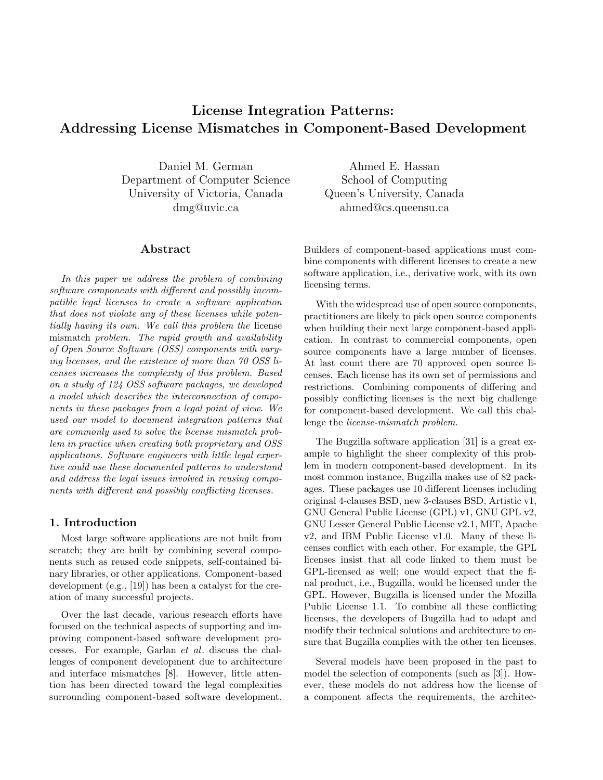# License Integration Patterns: Addressing License Mismatches in Component-Based Development

Daniel M. German Department of Computer Science University of Victoria, Canada dmg@uvic.ca

### Abstract

In this paper we address the problem of combining software components with different and possibly incompatible legal licenses to create a software application that does not violate any of these licenses while potentially having its own. We call this problem the license mismatch problem. The rapid growth and availability of Open Source Software (OSS) components with varying licenses, and the existence of more than 70 OSS licenses increases the complexity of this problem. Based on a study of 124 OSS software packages, we developed a model which describes the interconnection of components in these packages from a legal point of view. We used our model to document integration patterns that are commonly used to solve the license mismatch problem in practice when creating both proprietary and OSS applications. Software engineers with little legal expertise could use these documented patterns to understand and address the legal issues involved in reusing components with different and possibly conflicting licenses.

# 1. Introduction

Most large software applications are not built from scratch; they are built by combining several components such as reused code snippets, self-contained binary libraries, or other applications. Component-based development (e.g., [19]) has been a catalyst for the creation of many successful projects.

Over the last decade, various research efforts have focused on the technical aspects of supporting and improving component-based software development processes. For example, Garlan et al. discuss the challenges of component development due to architecture and interface mismatches [8]. However, little attention has been directed toward the legal complexities surrounding component-based software development.

Ahmed E. Hassan School of Computing Queen's University, Canada ahmed@cs.queensu.ca

Builders of component-based applications must combine components with different licenses to create a new software application, i.e., derivative work, with its own licensing terms.

With the widespread use of open source components, practitioners are likely to pick open source components when building their next large component-based application. In contrast to commercial components, open source components have a large number of licenses. At last count there are 70 approved open source licenses. Each license has its own set of permissions and restrictions. Combining components of differing and possibly conflicting licenses is the next big challenge for component-based development. We call this challenge the license-mismatch problem.

The Bugzilla software application [31] is a great example to highlight the sheer complexity of this problem in modern component-based development. In its most common instance, Bugzilla makes use of 82 packages. These packages use 10 different licenses including original 4-clauses BSD, new 3-clauses BSD, Artistic v1, GNU General Public License (GPL) v1, GNU GPL v2, GNU Lesser General Public License v2.1, MIT, Apache v2, and IBM Public License v1.0. Many of these licenses conflict with each other. For example, the GPL licenses insist that all code linked to them must be GPL-licensed as well; one would expect that the final product, i.e., Bugzilla, would be licensed under the GPL. However, Bugzilla is licensed under the Mozilla Public License 1.1. To combine all these conflicting licenses, the developers of Bugzilla had to adapt and modify their technical solutions and architecture to ensure that Bugzilla complies with the other ten licenses.

Several models have been proposed in the past to model the selection of components (such as [3]). However, these models do not address how the license of a component affects the requirements, the architec-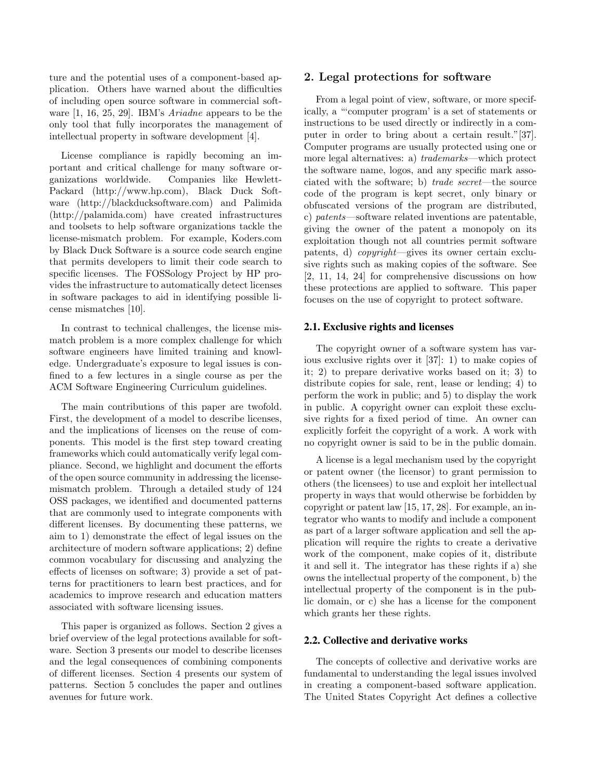ture and the potential uses of a component-based application. Others have warned about the difficulties of including open source software in commercial software [1, 16, 25, 29]. IBM's Ariadne appears to be the only tool that fully incorporates the management of intellectual property in software development [4].

License compliance is rapidly becoming an important and critical challenge for many software organizations worldwide. Companies like Hewlett-Packard (http://www.hp.com), Black Duck Software (http://blackducksoftware.com) and Palimida (http://palamida.com) have created infrastructures and toolsets to help software organizations tackle the license-mismatch problem. For example, Koders.com by Black Duck Software is a source code search engine that permits developers to limit their code search to specific licenses. The FOSSology Project by HP provides the infrastructure to automatically detect licenses in software packages to aid in identifying possible license mismatches [10].

In contrast to technical challenges, the license mismatch problem is a more complex challenge for which software engineers have limited training and knowledge. Undergraduate's exposure to legal issues is confined to a few lectures in a single course as per the ACM Software Engineering Curriculum guidelines.

The main contributions of this paper are twofold. First, the development of a model to describe licenses, and the implications of licenses on the reuse of components. This model is the first step toward creating frameworks which could automatically verify legal compliance. Second, we highlight and document the efforts of the open source community in addressing the licensemismatch problem. Through a detailed study of 124 OSS packages, we identified and documented patterns that are commonly used to integrate components with different licenses. By documenting these patterns, we aim to 1) demonstrate the effect of legal issues on the architecture of modern software applications; 2) define common vocabulary for discussing and analyzing the effects of licenses on software; 3) provide a set of patterns for practitioners to learn best practices, and for academics to improve research and education matters associated with software licensing issues.

This paper is organized as follows. Section 2 gives a brief overview of the legal protections available for software. Section 3 presents our model to describe licenses and the legal consequences of combining components of different licenses. Section 4 presents our system of patterns. Section 5 concludes the paper and outlines avenues for future work.

#### 2. Legal protections for software

From a legal point of view, software, or more specifically, a "'computer program' is a set of statements or instructions to be used directly or indirectly in a computer in order to bring about a certain result."[37]. Computer programs are usually protected using one or more legal alternatives: a) trademarks—which protect the software name, logos, and any specific mark associated with the software; b) trade secret—the source code of the program is kept secret, only binary or obfuscated versions of the program are distributed, c) patents—software related inventions are patentable, giving the owner of the patent a monopoly on its exploitation though not all countries permit software patents, d) copyright—gives its owner certain exclusive rights such as making copies of the software. See [2, 11, 14, 24] for comprehensive discussions on how these protections are applied to software. This paper focuses on the use of copyright to protect software.

#### 2.1. Exclusive rights and licenses

The copyright owner of a software system has various exclusive rights over it [37]: 1) to make copies of it; 2) to prepare derivative works based on it; 3) to distribute copies for sale, rent, lease or lending; 4) to perform the work in public; and 5) to display the work in public. A copyright owner can exploit these exclusive rights for a fixed period of time. An owner can explicitly forfeit the copyright of a work. A work with no copyright owner is said to be in the public domain.

A license is a legal mechanism used by the copyright or patent owner (the licensor) to grant permission to others (the licensees) to use and exploit her intellectual property in ways that would otherwise be forbidden by copyright or patent law [15, 17, 28]. For example, an integrator who wants to modify and include a component as part of a larger software application and sell the application will require the rights to create a derivative work of the component, make copies of it, distribute it and sell it. The integrator has these rights if a) she owns the intellectual property of the component, b) the intellectual property of the component is in the public domain, or c) she has a license for the component which grants her these rights.

#### 2.2. Collective and derivative works

The concepts of collective and derivative works are fundamental to understanding the legal issues involved in creating a component-based software application. The United States Copyright Act defines a collective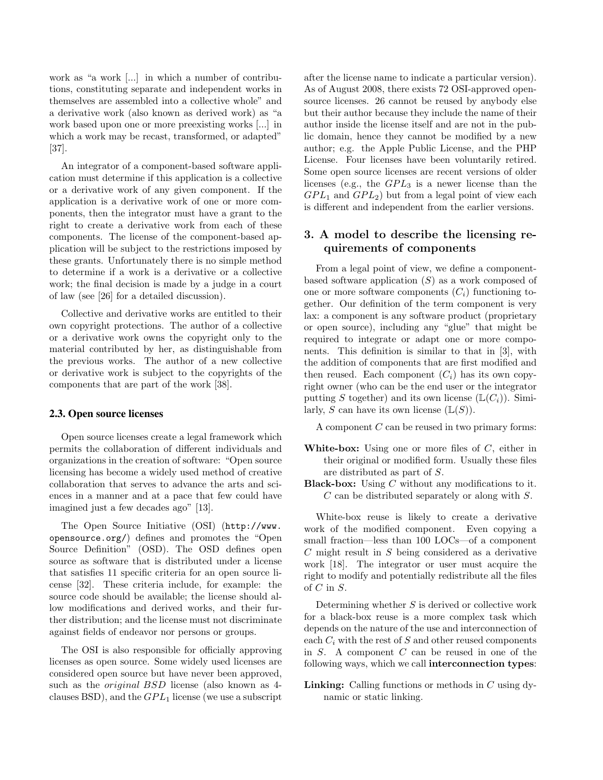work as "a work [...] in which a number of contributions, constituting separate and independent works in themselves are assembled into a collective whole" and a derivative work (also known as derived work) as "a work based upon one or more preexisting works [...] in which a work may be recast, transformed, or adapted" [37].

An integrator of a component-based software application must determine if this application is a collective or a derivative work of any given component. If the application is a derivative work of one or more components, then the integrator must have a grant to the right to create a derivative work from each of these components. The license of the component-based application will be subject to the restrictions imposed by these grants. Unfortunately there is no simple method to determine if a work is a derivative or a collective work; the final decision is made by a judge in a court of law (see [26] for a detailed discussion).

Collective and derivative works are entitled to their own copyright protections. The author of a collective or a derivative work owns the copyright only to the material contributed by her, as distinguishable from the previous works. The author of a new collective or derivative work is subject to the copyrights of the components that are part of the work [38].

#### 2.3. Open source licenses

Open source licenses create a legal framework which permits the collaboration of different individuals and organizations in the creation of software: "Open source licensing has become a widely used method of creative collaboration that serves to advance the arts and sciences in a manner and at a pace that few could have imagined just a few decades ago" [13].

The Open Source Initiative (OSI) (http://www. opensource.org/) defines and promotes the "Open Source Definition" (OSD). The OSD defines open source as software that is distributed under a license that satisfies 11 specific criteria for an open source license [32]. These criteria include, for example: the source code should be available; the license should allow modifications and derived works, and their further distribution; and the license must not discriminate against fields of endeavor nor persons or groups.

The OSI is also responsible for officially approving licenses as open source. Some widely used licenses are considered open source but have never been approved, such as the original BSD license (also known as 4 clauses BSD), and the  $GPL_1$  license (we use a subscript after the license name to indicate a particular version). As of August 2008, there exists 72 OSI-approved opensource licenses. 26 cannot be reused by anybody else but their author because they include the name of their author inside the license itself and are not in the public domain, hence they cannot be modified by a new author; e.g. the Apple Public License, and the PHP License. Four licenses have been voluntarily retired. Some open source licenses are recent versions of older licenses (e.g., the  $GPL_3$  is a newer license than the  $GPL_1$  and  $GPL_2$ ) but from a legal point of view each is different and independent from the earlier versions.

# 3. A model to describe the licensing requirements of components

From a legal point of view, we define a componentbased software application  $(S)$  as a work composed of one or more software components  $(C_i)$  functioning together. Our definition of the term component is very lax: a component is any software product (proprietary or open source), including any "glue" that might be required to integrate or adapt one or more components. This definition is similar to that in [3], with the addition of components that are first modified and then reused. Each component  $(C_i)$  has its own copyright owner (who can be the end user or the integrator putting S together) and its own license  $(\mathbb{L}(C_i))$ . Similarly, S can have its own license  $(\mathbb{L}(S))$ .

A component  $C$  can be reused in two primary forms:

- White-box: Using one or more files of  $C$ , either in their original or modified form. Usually these files are distributed as part of S.
- **Black-box:** Using  $C$  without any modifications to it. C can be distributed separately or along with S.

White-box reuse is likely to create a derivative work of the modified component. Even copying a small fraction—less than 100 LOCs—of a component C might result in S being considered as a derivative work [18]. The integrator or user must acquire the right to modify and potentially redistribute all the files of  $C$  in  $S$ .

Determining whether  $S$  is derived or collective work for a black-box reuse is a more complex task which depends on the nature of the use and interconnection of each  $C_i$  with the rest of S and other reused components in S. A component C can be reused in one of the following ways, which we call interconnection types:

Linking: Calling functions or methods in C using dynamic or static linking.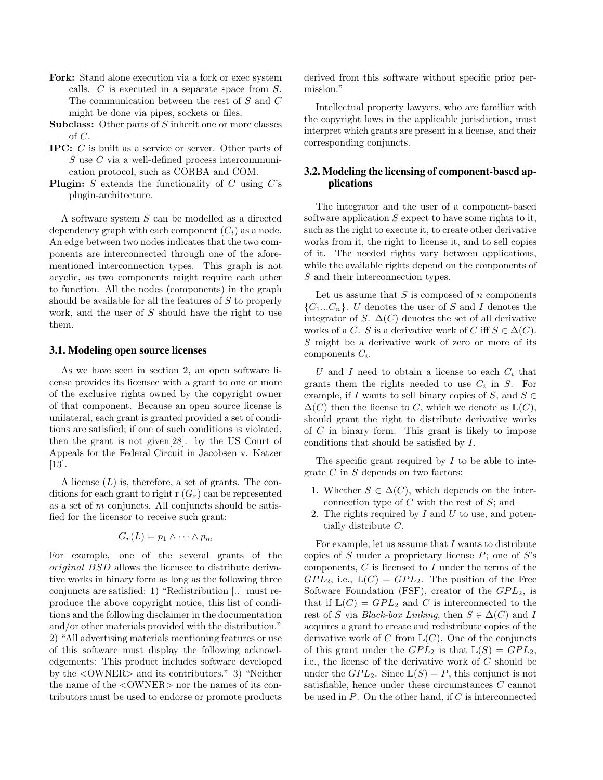- Fork: Stand alone execution via a fork or exec system calls. C is executed in a separate space from S. The communication between the rest of S and C might be done via pipes, sockets or files.
- Subclass: Other parts of S inherit one or more classes of C.
- IPC: C is built as a service or server. Other parts of S use C via a well-defined process intercommunication protocol, such as CORBA and COM.
- **Plugin:**  $S$  extends the functionality of  $C$  using  $C$ 's plugin-architecture.

A software system S can be modelled as a directed dependency graph with each component  $(C_i)$  as a node. An edge between two nodes indicates that the two components are interconnected through one of the aforementioned interconnection types. This graph is not acyclic, as two components might require each other to function. All the nodes (components) in the graph should be available for all the features of S to properly work, and the user of  $S$  should have the right to use them.

#### 3.1. Modeling open source licenses

As we have seen in section 2, an open software license provides its licensee with a grant to one or more of the exclusive rights owned by the copyright owner of that component. Because an open source license is unilateral, each grant is granted provided a set of conditions are satisfied; if one of such conditions is violated, then the grant is not given[28]. by the US Court of Appeals for the Federal Circuit in Jacobsen v. Katzer [13].

A license  $(L)$  is, therefore, a set of grants. The conditions for each grant to right r  $(G_r)$  can be represented as a set of  $m$  conjuncts. All conjuncts should be satisfied for the licensor to receive such grant:

$$
G_r(L) = p_1 \wedge \cdots \wedge p_m
$$

For example, one of the several grants of the original BSD allows the licensee to distribute derivative works in binary form as long as the following three conjuncts are satisfied: 1) "Redistribution [..] must reproduce the above copyright notice, this list of conditions and the following disclaimer in the documentation and/or other materials provided with the distribution." 2) "All advertising materials mentioning features or use of this software must display the following acknowledgements: This product includes software developed by the <OWNER> and its contributors." 3) "Neither the name of the <OWNER> nor the names of its contributors must be used to endorse or promote products derived from this software without specific prior permission."

Intellectual property lawyers, who are familiar with the copyright laws in the applicable jurisdiction, must interpret which grants are present in a license, and their corresponding conjuncts.

## 3.2. Modeling the licensing of component-based applications

The integrator and the user of a component-based software application  $S$  expect to have some rights to it, such as the right to execute it, to create other derivative works from it, the right to license it, and to sell copies of it. The needed rights vary between applications, while the available rights depend on the components of S and their interconnection types.

Let us assume that  $S$  is composed of  $n$  components  ${C_1...C_n}$ . U denotes the user of S and I denotes the integrator of S.  $\Delta(C)$  denotes the set of all derivative works of a C. S is a derivative work of C iff  $S \in \Delta(C)$ . S might be a derivative work of zero or more of its components  $C_i$ .

U and I need to obtain a license to each  $C_i$  that grants them the rights needed to use  $C_i$  in S. For example, if I wants to sell binary copies of S, and  $S \in$  $\Delta(C)$  then the license to C, which we denote as  $\mathbb{L}(C)$ , should grant the right to distribute derivative works of  $C$  in binary form. This grant is likely to impose conditions that should be satisfied by I.

The specific grant required by  $I$  to be able to integrate  $C$  in  $S$  depends on two factors:

- 1. Whether  $S \in \Delta(C)$ , which depends on the interconnection type of  $C$  with the rest of  $S$ ; and
- 2. The rights required by  $I$  and  $U$  to use, and potentially distribute C.

For example, let us assume that  $I$  wants to distribute copies of S under a proprietary license  $P$ ; one of S's components,  $C$  is licensed to  $I$  under the terms of the  $GPL_2$ , i.e.,  $\mathbb{L}(C) = GPL_2$ . The position of the Free Software Foundation (FSF), creator of the  $GPL_2$ , is that if  $\mathbb{L}(C) = GPL_2$  and C is interconnected to the rest of S via Black-box Linking, then  $S \in \Delta(C)$  and I acquires a grant to create and redistribute copies of the derivative work of  $C$  from  $\mathbb{L}(C)$ . One of the conjuncts of this grant under the  $GPL_2$  is that  $\mathbb{L}(S) = GPL_2$ , i.e., the license of the derivative work of  $C$  should be under the  $GPL_2$ . Since  $\mathbb{L}(S) = P$ , this conjunct is not satisfiable, hence under these circumstances C cannot be used in  $P$ . On the other hand, if  $C$  is interconnected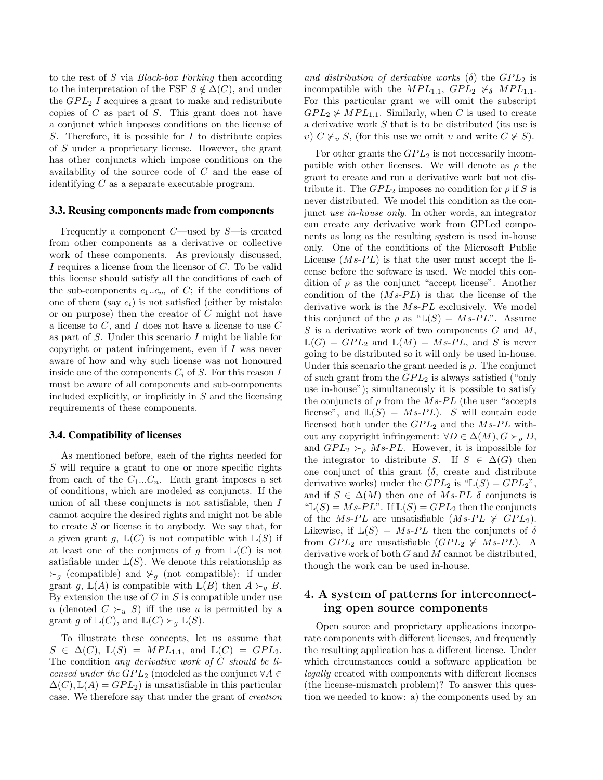to the rest of S via Black-box Forking then according to the interpretation of the FSF  $S \notin \Delta(C)$ , and under the  $GPL_2$  I acquires a grant to make and redistribute copies of  $C$  as part of  $S$ . This grant does not have a conjunct which imposes conditions on the license of S. Therefore, it is possible for  $I$  to distribute copies of S under a proprietary license. However, the grant has other conjuncts which impose conditions on the availability of the source code of C and the ease of identifying  $C$  as a separate executable program.

## 3.3. Reusing components made from components

Frequently a component  $C$ —used by  $S$ —is created from other components as a derivative or collective work of these components. As previously discussed, I requires a license from the licensor of C. To be valid this license should satisfy all the conditions of each of the sub-components  $c_1..c_m$  of C; if the conditions of one of them (say  $c_i$ ) is not satisfied (either by mistake or on purpose) then the creator of  $C$  might not have a license to  $C$ , and  $I$  does not have a license to use  $C$ as part of S. Under this scenario I might be liable for copyright or patent infringement, even if  $I$  was never aware of how and why such license was not honoured inside one of the components  $C_i$  of S. For this reason I must be aware of all components and sub-components included explicitly, or implicitly in  $S$  and the licensing requirements of these components.

#### 3.4. Compatibility of licenses

As mentioned before, each of the rights needed for S will require a grant to one or more specific rights from each of the  $C_1...C_n$ . Each grant imposes a set of conditions, which are modeled as conjuncts. If the union of all these conjuncts is not satisfiable, then I cannot acquire the desired rights and might not be able to create S or license it to anybody. We say that, for a given grant q,  $\mathbb{L}(C)$  is not compatible with  $\mathbb{L}(S)$  if at least one of the conjuncts of g from  $\mathbb{L}(C)$  is not satisfiable under  $\mathbb{L}(S)$ . We denote this relationship as  $\succ_g$  (compatible) and  $\succ_g$  (not compatible): if under grant g,  $\mathbb{L}(A)$  is compatible with  $\mathbb{L}(B)$  then  $A \succ_{g} B$ . By extension the use of  $C$  in  $S$  is compatible under use u (denoted  $C \succ_u S$ ) iff the use u is permitted by a grant g of  $\mathbb{L}(C)$ , and  $\mathbb{L}(C) \succ_q \mathbb{L}(S)$ .

To illustrate these concepts, let us assume that  $S \in \Delta(C)$ ,  $\mathbb{L}(S) = MPL_{1,1}$ , and  $\mathbb{L}(C) = GPL_2$ . The condition any derivative work of  $C$  should be licensed under the  $GPL_2$  (modeled as the conjunct  $\forall A \in$  $\Delta(C), \mathbb{L}(A) = GPL_2$  is unsatisfiable in this particular case. We therefore say that under the grant of creation

and distribution of derivative works ( $\delta$ ) the  $GPL_2$  is incompatible with the  $MPL_{1,1}$ ,  $GPL_2 \nless_{\delta} MPL_{1,1}$ . For this particular grant we will omit the subscript  $GPL_2 \nless MPL_{1.1}$ . Similarly, when C is used to create a derivative work  $S$  that is to be distributed (its use is υ)  $C \not\vdash_v S$ , (for this use we omit v and write  $C \not\vdash S$ ).

For other grants the  $GPL_2$  is not necessarily incompatible with other licenses. We will denote as  $\rho$  the grant to create and run a derivative work but not distribute it. The  $GPL_2$  imposes no condition for  $\rho$  if S is never distributed. We model this condition as the conjunct use in-house only. In other words, an integrator can create any derivative work from GPLed components as long as the resulting system is used in-house only. One of the conditions of the Microsoft Public License  $(Ms$ - $PL)$  is that the user must accept the license before the software is used. We model this condition of  $\rho$  as the conjunct "accept license". Another condition of the  $(Ms-PL)$  is that the license of the derivative work is the  $Ms-PL$  exclusively. We model this conjunct of the  $\rho$  as " $\mathbb{L}(S) = Ms\text{-}PL$ ". Assume  $S$  is a derivative work of two components  $G$  and  $M$ ,  $\mathbb{L}(G) = GPL_2$  and  $\mathbb{L}(M) = Ms\text{-}PL$ , and S is never going to be distributed so it will only be used in-house. Under this scenario the grant needed is  $\rho$ . The conjunct of such grant from the  $GPL_2$  is always satisfied ("only use in-house"); simultaneously it is possible to satisfy the conjuncts of  $\rho$  from the Ms-PL (the user "accepts" license", and  $\mathbb{L}(S) = Ms\text{-}PL$ . S will contain code licensed both under the  $GPL_2$  and the  $Ms-PL$  without any copyright infringement:  $\forall D \in \Delta(M), G \succ_{\rho} D$ , and  $GPL_2 \succ_{\rho} Ms\text{-}PL$ . However, it is impossible for the integrator to distribute S. If  $S \in \Delta(G)$  then one conjunct of this grant  $(\delta, \text{ create and distribute})$ derivative works) under the  $GPL_2$  is " $\mathbb{L}(S) = GPL_2$ ", and if  $S \in \Delta(M)$  then one of Ms-PL  $\delta$  conjuncts is " $\mathbb{L}(S) = Ms\text{-}PL$ ". If  $\mathbb{L}(S) = GPL_2$  then the conjuncts of the Ms-PL are unsatisfiable  $(Ms-PL \nless GPL_2)$ . Likewise, if  $\mathbb{L}(S) = Ms\text{-}PL$  then the conjuncts of  $\delta$ from  $GPL_2$  are unsatisfiable  $(GPL_2 \nless Ms-PL)$ . A derivative work of both  $G$  and  $M$  cannot be distributed, though the work can be used in-house.

# 4. A system of patterns for interconnecting open source components

Open source and proprietary applications incorporate components with different licenses, and frequently the resulting application has a different license. Under which circumstances could a software application be legally created with components with different licenses (the license-mismatch problem)? To answer this question we needed to know: a) the components used by an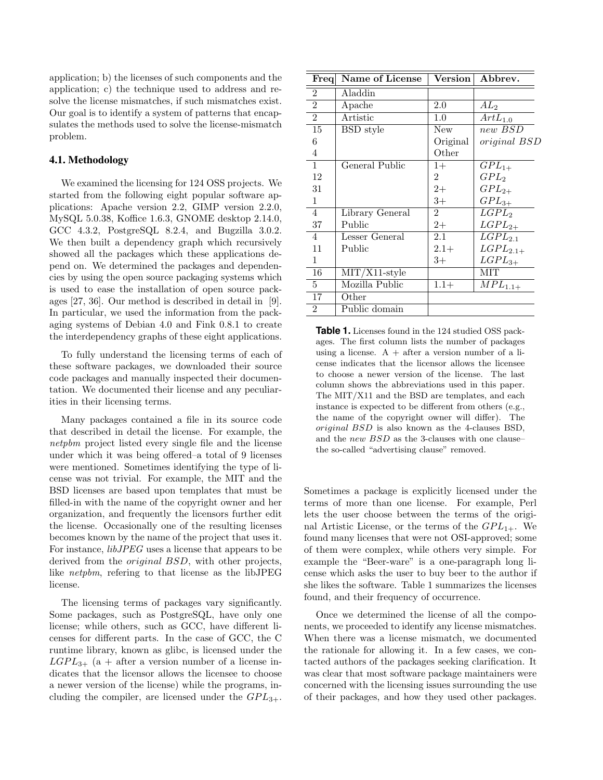application; b) the licenses of such components and the application; c) the technique used to address and resolve the license mismatches, if such mismatches exist. Our goal is to identify a system of patterns that encapsulates the methods used to solve the license-mismatch problem.

# 4.1. Methodology

We examined the licensing for 124 OSS projects. We started from the following eight popular software applications: Apache version 2.2, GIMP version 2.2.0, MySQL 5.0.38, Koffice 1.6.3, GNOME desktop 2.14.0, GCC 4.3.2, PostgreSQL 8.2.4, and Bugzilla 3.0.2. We then built a dependency graph which recursively showed all the packages which these applications depend on. We determined the packages and dependencies by using the open source packaging systems which is used to ease the installation of open source packages [27, 36]. Our method is described in detail in [9]. In particular, we used the information from the packaging systems of Debian 4.0 and Fink 0.8.1 to create the interdependency graphs of these eight applications.

To fully understand the licensing terms of each of these software packages, we downloaded their source code packages and manually inspected their documentation. We documented their license and any peculiarities in their licensing terms.

Many packages contained a file in its source code that described in detail the license. For example, the netpbm project listed every single file and the license under which it was being offered–a total of 9 licenses were mentioned. Sometimes identifying the type of license was not trivial. For example, the MIT and the BSD licenses are based upon templates that must be filled-in with the name of the copyright owner and her organization, and frequently the licensors further edit the license. Occasionally one of the resulting licenses becomes known by the name of the project that uses it. For instance, libJPEG uses a license that appears to be derived from the *original BSD*, with other projects, like netpbm, refering to that license as the libJPEG license.

The licensing terms of packages vary significantly. Some packages, such as PostgreSQL, have only one license; while others, such as GCC, have different licenses for different parts. In the case of GCC, the C runtime library, known as glibc, is licensed under the  $LGPL_{3+}$  (a + after a version number of a license indicates that the licensor allows the licensee to choose a newer version of the license) while the programs, including the compiler, are licensed under the  $GPL_{3+}$ .

| Freq           | <b>Name of License</b> | Version        | Abbrev.                 |
|----------------|------------------------|----------------|-------------------------|
| $\overline{2}$ | Aladdin                |                |                         |
| $\overline{2}$ | Apache                 | 2.0            | $AL_2$                  |
| $\overline{2}$ | Artistic               | 1.0            | $ArtL_{1.0}$            |
| 15             | <b>BSD</b> style       | New            | new BSD                 |
| 6              |                        | Original       | <i>original BSD</i>     |
| $\overline{4}$ |                        | Other          |                         |
| $\mathbf{1}$   | General Public         | $1+$           | $GPL_{1+}$              |
| 12             |                        | $\overline{2}$ | $GPL_2$                 |
| 31             |                        | $2+$           | $GPL_{2+}$              |
| 1              |                        | $^{3+}$        | $GPL_{3+}$              |
| $\overline{4}$ | Library General        | $\overline{2}$ | $\overline{L}GPL_2$     |
| 37             | Public                 | $2+$           | $LGPL_{2+}$             |
| $\overline{4}$ | Lesser General         | 2.1            | $\overline{L}GPL_{2.1}$ |
| 11             | Public                 | $2.1 +$        | $LGPL_{2.1+}$           |
| $\mathbf{1}$   |                        | $^{3+}$        | $LGPL_{3+}$             |
| 16             | $MIT/X11-style$        |                | MІT                     |
| 5              | Mozilla Public         | $1.1 +$        | $\overline{MPL}_{1.1+}$ |
| 17             | Other                  |                |                         |
| $\overline{2}$ | Public domain          |                |                         |

**Table 1.** Licenses found in the 124 studied OSS packages. The first column lists the number of packages using a license.  $A + after a version number of a li$ cense indicates that the licensor allows the licensee to choose a newer version of the license. The last column shows the abbreviations used in this paper. The MIT/X11 and the BSD are templates, and each instance is expected to be different from others (e.g., the name of the copyright owner will differ). The original BSD is also known as the 4-clauses BSD, and the new BSD as the 3-clauses with one clause– the so-called "advertising clause" removed.

Sometimes a package is explicitly licensed under the terms of more than one license. For example, Perl lets the user choose between the terms of the original Artistic License, or the terms of the  $GPL_{1+}$ . We found many licenses that were not OSI-approved; some of them were complex, while others very simple. For example the "Beer-ware" is a one-paragraph long license which asks the user to buy beer to the author if she likes the software. Table 1 summarizes the licenses found, and their frequency of occurrence.

Once we determined the license of all the components, we proceeded to identify any license mismatches. When there was a license mismatch, we documented the rationale for allowing it. In a few cases, we contacted authors of the packages seeking clarification. It was clear that most software package maintainers were concerned with the licensing issues surrounding the use of their packages, and how they used other packages.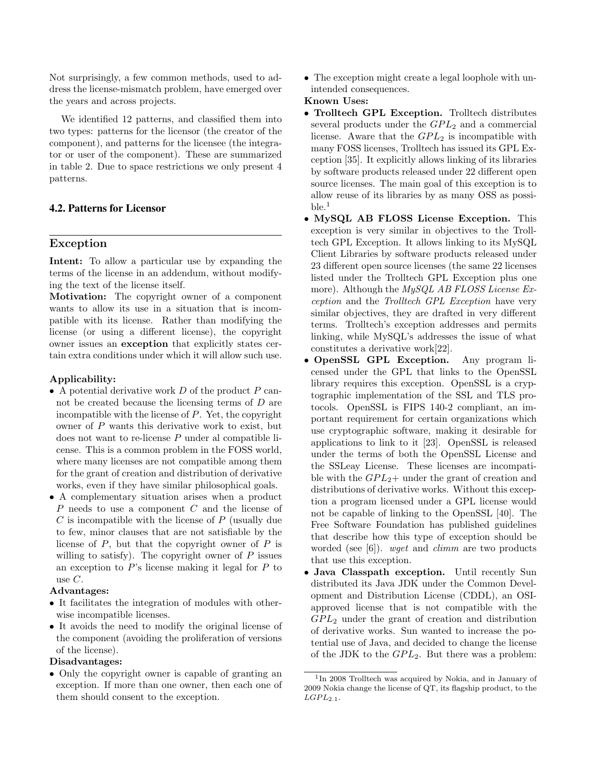Not surprisingly, a few common methods, used to address the license-mismatch problem, have emerged over the years and across projects.

We identified 12 patterns, and classified them into two types: patterns for the licensor (the creator of the component), and patterns for the licensee (the integrator or user of the component). These are summarized in table 2. Due to space restrictions we only present 4 patterns.

# 4.2. Patterns for Licensor

# Exception

Intent: To allow a particular use by expanding the terms of the license in an addendum, without modifying the text of the license itself.

Motivation: The copyright owner of a component wants to allow its use in a situation that is incompatible with its license. Rather than modifying the license (or using a different license), the copyright owner issues an exception that explicitly states certain extra conditions under which it will allow such use.

# Applicability:

- A potential derivative work  $D$  of the product  $P$  cannot be created because the licensing terms of D are incompatible with the license of  $P$ . Yet, the copyright owner of P wants this derivative work to exist, but does not want to re-license  $P$  under al compatible license. This is a common problem in the FOSS world, where many licenses are not compatible among them for the grant of creation and distribution of derivative works, even if they have similar philosophical goals.
- A complementary situation arises when a product P needs to use a component C and the license of  $C$  is incompatible with the license of  $P$  (usually due to few, minor clauses that are not satisfiable by the license of  $P$ , but that the copyright owner of  $P$  is willing to satisfy). The copyright owner of  $P$  issues an exception to  $P$ 's license making it legal for  $P$  to use  $C$ .

## Advantages:

- It facilitates the integration of modules with otherwise incompatible licenses.
- It avoids the need to modify the original license of the component (avoiding the proliferation of versions of the license).

#### Disadvantages:

• Only the copyright owner is capable of granting an exception. If more than one owner, then each one of them should consent to the exception.

• The exception might create a legal loophole with unintended consequences.

#### Known Uses:

- Trolltech GPL Exception. Trolltech distributes several products under the  $GPL_2$  and a commercial license. Aware that the  $GPL_2$  is incompatible with many FOSS licenses, Trolltech has issued its GPL Exception [35]. It explicitly allows linking of its libraries by software products released under 22 different open source licenses. The main goal of this exception is to allow reuse of its libraries by as many OSS as possi $ble.1$
- MySQL AB FLOSS License Exception. This exception is very similar in objectives to the Trolltech GPL Exception. It allows linking to its MySQL Client Libraries by software products released under 23 different open source licenses (the same 22 licenses listed under the Trolltech GPL Exception plus one more). Although the MySQL AB FLOSS License Exception and the Trolltech GPL Exception have very similar objectives, they are drafted in very different terms. Trolltech's exception addresses and permits linking, while MySQL's addresses the issue of what constitutes a derivative work[22].
- OpenSSL GPL Exception. Any program licensed under the GPL that links to the OpenSSL library requires this exception. OpenSSL is a cryptographic implementation of the SSL and TLS protocols. OpenSSL is FIPS 140-2 compliant, an important requirement for certain organizations which use cryptographic software, making it desirable for applications to link to it [23]. OpenSSL is released under the terms of both the OpenSSL License and the SSLeay License. These licenses are incompatible with the  $GPL_2+$  under the grant of creation and distributions of derivative works. Without this exception a program licensed under a GPL license would not be capable of linking to the OpenSSL [40]. The Free Software Foundation has published guidelines that describe how this type of exception should be worded (see [6]). *wget* and *climm* are two products that use this exception.
- Java Classpath exception. Until recently Sun distributed its Java JDK under the Common Development and Distribution License (CDDL), an OSIapproved license that is not compatible with the  $GPL_2$  under the grant of creation and distribution of derivative works. Sun wanted to increase the potential use of Java, and decided to change the license of the JDK to the  $GPL_2$ . But there was a problem:

<sup>&</sup>lt;sup>1</sup>In 2008 Trolltech was acquired by Nokia, and in January of 2009 Nokia change the license of QT, its flagship product, to the  $LGPL_{2.1}.$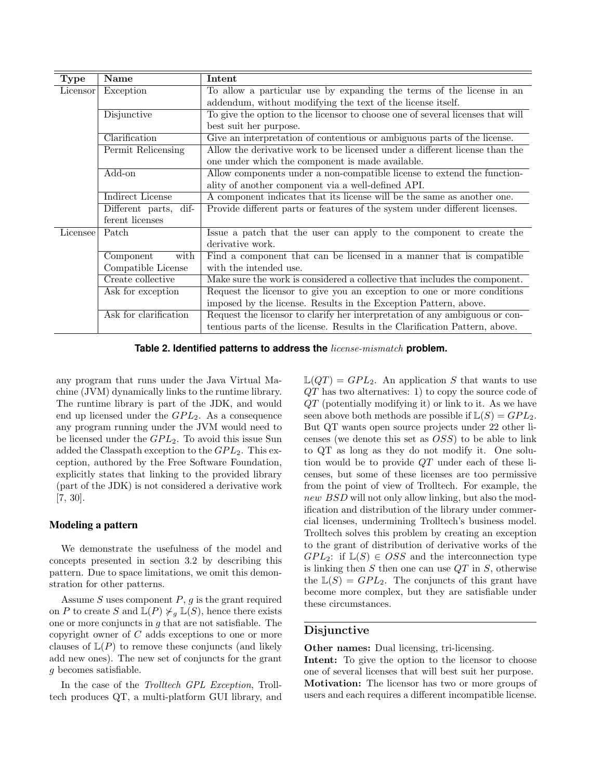| <b>Type</b> | Name                  | Intent                                                                         |  |
|-------------|-----------------------|--------------------------------------------------------------------------------|--|
| Licensor    | Exception             | To allow a particular use by expanding the terms of the license in an          |  |
|             |                       | addendum, without modifying the text of the license itself.                    |  |
|             | Disjunctive           | To give the option to the licensor to choose one of several licenses that will |  |
|             |                       | best suit her purpose.                                                         |  |
|             | Clarification         | Give an interpretation of contentious or ambiguous parts of the license.       |  |
|             | Permit Relicensing    | Allow the derivative work to be licensed under a different license than the    |  |
|             |                       | one under which the component is made available.                               |  |
|             | Add-on                | Allow components under a non-compatible license to extend the function-        |  |
|             |                       | ality of another component via a well-defined API.                             |  |
|             | Indirect License      | A component indicates that its license will be the same as another one.        |  |
|             | Different parts, dif- | Provide different parts or features of the system under different licenses.    |  |
|             | ferent licenses       |                                                                                |  |
| Licensee    | Patch                 | Issue a patch that the user can apply to the component to create the           |  |
|             |                       | derivative work.                                                               |  |
|             | Component<br>with     | Find a component that can be licensed in a manner that is compatible           |  |
|             | Compatible License    | with the intended use.                                                         |  |
|             | Create collective     | Make sure the work is considered a collective that includes the component.     |  |
|             | Ask for exception     | Request the licensor to give you an exception to one or more conditions        |  |
|             |                       | imposed by the license. Results in the Exception Pattern, above.               |  |
|             | Ask for clarification | Request the licensor to clarify her interpretation of any ambiguous or con-    |  |
|             |                       | tentious parts of the license. Results in the Clarification Pattern, above.    |  |

**Table 2. Identified patterns to address the** license-mismatch **problem.**

any program that runs under the Java Virtual Machine (JVM) dynamically links to the runtime library. The runtime library is part of the JDK, and would end up licensed under the  $GPL_2$ . As a consequence any program running under the JVM would need to be licensed under the  $GPL_2$ . To avoid this issue Sun added the Classpath exception to the  $GPL_2$ . This exception, authored by the Free Software Foundation, explicitly states that linking to the provided library (part of the JDK) is not considered a derivative work [7, 30].

#### Modeling a pattern

We demonstrate the usefulness of the model and concepts presented in section 3.2 by describing this pattern. Due to space limitations, we omit this demonstration for other patterns.

Assume  $S$  uses component  $P$ ,  $g$  is the grant required on P to create S and  $\mathbb{L}(P) \not\succ_g \mathbb{L}(S)$ , hence there exists one or more conjuncts in  $g$  that are not satisfiable. The copyright owner of  $C$  adds exceptions to one or more clauses of  $L(P)$  to remove these conjuncts (and likely add new ones). The new set of conjuncts for the grant g becomes satisfiable.

In the case of the *Trolltech GPL Exception*, Trolltech produces QT, a multi-platform GUI library, and  $\mathbb{L}(QT) = GPL_2$ . An application S that wants to use QT has two alternatives: 1) to copy the source code of  $QT$  (potentially modifying it) or link to it. As we have seen above both methods are possible if  $\mathbb{L}(S) = GPL_2$ . But QT wants open source projects under 22 other licenses (we denote this set as OSS) to be able to link to QT as long as they do not modify it. One solution would be to provide QT under each of these licenses, but some of these licenses are too permissive from the point of view of Trolltech. For example, the new BSD will not only allow linking, but also the modification and distribution of the library under commercial licenses, undermining Trolltech's business model. Trolltech solves this problem by creating an exception to the grant of distribution of derivative works of the  $GPL_2$ : if  $\mathbb{L}(S) \in OSS$  and the interconnection type is linking then  $S$  then one can use  $QT$  in  $S$ , otherwise the  $\mathbb{L}(S) = GPL_2$ . The conjuncts of this grant have become more complex, but they are satisfiable under these circumstances.

## Disjunctive

Other names: Dual licensing, tri-licensing.

Intent: To give the option to the licensor to choose one of several licenses that will best suit her purpose. Motivation: The licensor has two or more groups of users and each requires a different incompatible license.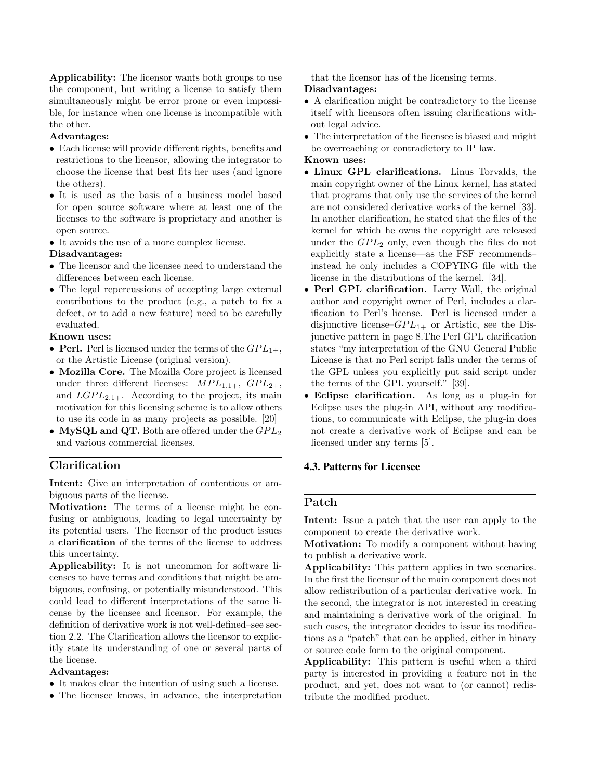Applicability: The licensor wants both groups to use the component, but writing a license to satisfy them simultaneously might be error prone or even impossible, for instance when one license is incompatible with the other.

### Advantages:

- Each license will provide different rights, benefits and restrictions to the licensor, allowing the integrator to choose the license that best fits her uses (and ignore the others).
- It is used as the basis of a business model based for open source software where at least one of the licenses to the software is proprietary and another is open source.
- It avoids the use of a more complex license.

#### Disadvantages:

- The licensor and the licensee need to understand the differences between each license.
- The legal repercussions of accepting large external contributions to the product (e.g., a patch to fix a defect, or to add a new feature) need to be carefully evaluated.

#### Known uses:

- Perl. Perl is licensed under the terms of the  $GPL_{1+}$ , or the Artistic License (original version).
- Mozilla Core. The Mozilla Core project is licensed under three different licenses:  $MPL_{1,1+}$ ,  $GPL_{2+}$ , and  $LGPL_{2,1+}$ . According to the project, its main motivation for this licensing scheme is to allow others to use its code in as many projects as possible. [20]
- MySQL and QT. Both are offered under the  $GPL_2$ and various commercial licenses.

# Clarification

Intent: Give an interpretation of contentious or ambiguous parts of the license.

Motivation: The terms of a license might be confusing or ambiguous, leading to legal uncertainty by its potential users. The licensor of the product issues a clarification of the terms of the license to address this uncertainty.

Applicability: It is not uncommon for software licenses to have terms and conditions that might be ambiguous, confusing, or potentially misunderstood. This could lead to different interpretations of the same license by the licensee and licensor. For example, the definition of derivative work is not well-defined–see section 2.2. The Clarification allows the licensor to explicitly state its understanding of one or several parts of the license.

# Advantages:

- It makes clear the intention of using such a license.
- The licensee knows, in advance, the interpretation

that the licensor has of the licensing terms.

### Disadvantages:

- A clarification might be contradictory to the license itself with licensors often issuing clarifications without legal advice.
- The interpretation of the licensee is biased and might be overreaching or contradictory to IP law.

#### Known uses:

- Linux GPL clarifications. Linus Torvalds, the main copyright owner of the Linux kernel, has stated that programs that only use the services of the kernel are not considered derivative works of the kernel [33]. In another clarification, he stated that the files of the kernel for which he owns the copyright are released under the  $GPL_2$  only, even though the files do not explicitly state a license—as the FSF recommends– instead he only includes a COPYING file with the license in the distributions of the kernel. [34].
- Perl GPL clarification. Larry Wall, the original author and copyright owner of Perl, includes a clarification to Perl's license. Perl is licensed under a disjunctive license– $GPL_{1+}$  or Artistic, see the Disjunctive pattern in page 8.The Perl GPL clarification states "my interpretation of the GNU General Public License is that no Perl script falls under the terms of the GPL unless you explicitly put said script under the terms of the GPL yourself." [39].
- Eclipse clarification. As long as a plug-in for Eclipse uses the plug-in API, without any modifications, to communicate with Eclipse, the plug-in does not create a derivative work of Eclipse and can be licensed under any terms [5].

#### 4.3. Patterns for Licensee

# Patch

Intent: Issue a patch that the user can apply to the component to create the derivative work.

Motivation: To modify a component without having to publish a derivative work.

Applicability: This pattern applies in two scenarios. In the first the licensor of the main component does not allow redistribution of a particular derivative work. In the second, the integrator is not interested in creating and maintaining a derivative work of the original. In such cases, the integrator decides to issue its modifications as a "patch" that can be applied, either in binary or source code form to the original component.

Applicability: This pattern is useful when a third party is interested in providing a feature not in the product, and yet, does not want to (or cannot) redistribute the modified product.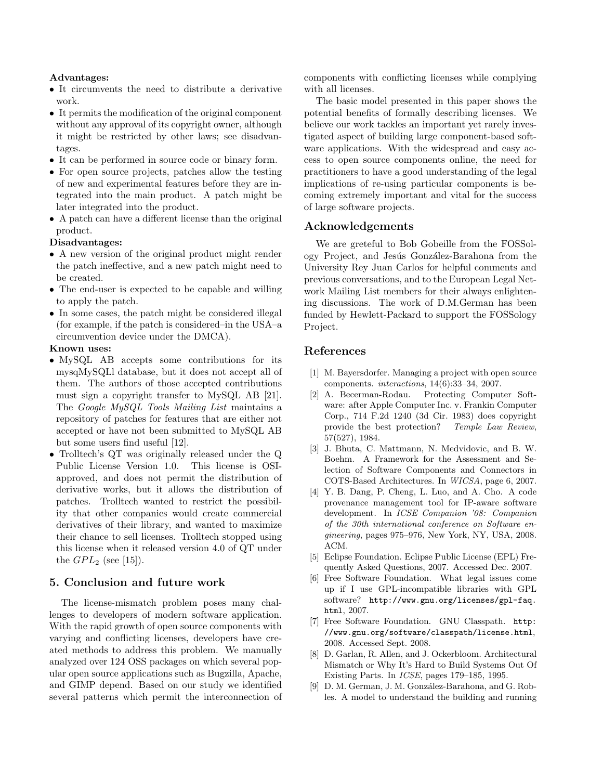#### Advantages:

- It circumvents the need to distribute a derivative work.
- It permits the modification of the original component without any approval of its copyright owner, although it might be restricted by other laws; see disadvantages.
- It can be performed in source code or binary form.
- For open source projects, patches allow the testing of new and experimental features before they are integrated into the main product. A patch might be later integrated into the product.
- A patch can have a different license than the original product.

#### Disadvantages:

- A new version of the original product might render the patch ineffective, and a new patch might need to be created.
- The end-user is expected to be capable and willing to apply the patch.
- In some cases, the patch might be considered illegal (for example, if the patch is considered–in the USA–a circumvention device under the DMCA).

#### Known uses:

- MySQL AB accepts some contributions for its mysqMySQLl database, but it does not accept all of them. The authors of those accepted contributions must sign a copyright transfer to MySQL AB [21]. The Google MySQL Tools Mailing List maintains a repository of patches for features that are either not accepted or have not been submitted to MySQL AB but some users find useful [12].
- Trolltech's QT was originally released under the Q Public License Version 1.0. This license is OSIapproved, and does not permit the distribution of derivative works, but it allows the distribution of patches. Trolltech wanted to restrict the possibility that other companies would create commercial derivatives of their library, and wanted to maximize their chance to sell licenses. Trolltech stopped using this license when it released version 4.0 of QT under the  $GPL_2$  (see [15]).

## 5. Conclusion and future work

The license-mismatch problem poses many challenges to developers of modern software application. With the rapid growth of open source components with varying and conflicting licenses, developers have created methods to address this problem. We manually analyzed over 124 OSS packages on which several popular open source applications such as Bugzilla, Apache, and GIMP depend. Based on our study we identified several patterns which permit the interconnection of components with conflicting licenses while complying with all licenses.

The basic model presented in this paper shows the potential benefits of formally describing licenses. We believe our work tackles an important yet rarely investigated aspect of building large component-based software applications. With the widespread and easy access to open source components online, the need for practitioners to have a good understanding of the legal implications of re-using particular components is becoming extremely important and vital for the success of large software projects.

# Acknowledgements

We are greteful to Bob Gobeille from the FOSSology Project, and Jesús González-Barahona from the University Rey Juan Carlos for helpful comments and previous conversations, and to the European Legal Network Mailing List members for their always enlightening discussions. The work of D.M.German has been funded by Hewlett-Packard to support the FOSSology Project.

### References

- [1] M. Bayersdorfer. Managing a project with open source components. interactions, 14(6):33–34, 2007.
- [2] A. Becerman-Rodau. Protecting Computer Software: after Apple Computer Inc. v. Frankin Computer Corp., 714 F.2d 1240 (3d Cir. 1983) does copyright provide the best protection? Temple Law Review, 57(527), 1984.
- [3] J. Bhuta, C. Mattmann, N. Medvidovic, and B. W. Boehm. A Framework for the Assessment and Selection of Software Components and Connectors in COTS-Based Architectures. In WICSA, page 6, 2007.
- [4] Y. B. Dang, P. Cheng, L. Luo, and A. Cho. A code provenance management tool for IP-aware software development. In ICSE Companion '08: Companion of the 30th international conference on Software engineering, pages 975–976, New York, NY, USA, 2008. ACM.
- [5] Eclipse Foundation. Eclipse Public License (EPL) Frequently Asked Questions, 2007. Accessed Dec. 2007.
- [6] Free Software Foundation. What legal issues come up if I use GPL-incompatible libraries with GPL software? http://www.gnu.org/licenses/gpl-faq. html, 2007.
- [7] Free Software Foundation. GNU Classpath. http: //www.gnu.org/software/classpath/license.html, 2008. Accessed Sept. 2008.
- [8] D. Garlan, R. Allen, and J. Ockerbloom. Architectural Mismatch or Why It's Hard to Build Systems Out Of Existing Parts. In ICSE, pages 179–185, 1995.
- [9] D. M. German, J. M. González-Barahona, and G. Robles. A model to understand the building and running